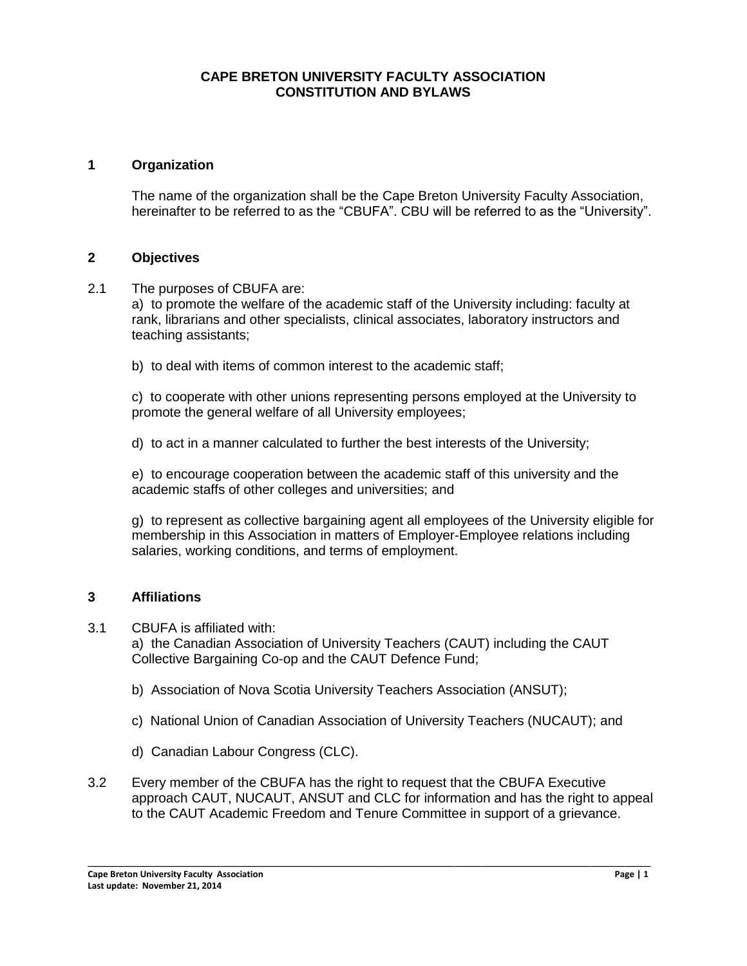## **CAPE BRETON UNIVERSITY FACULTY ASSOCIATION CONSTITUTION AND BYLAWS**

#### **1 Organization**

The name of the organization shall be the Cape Breton University Faculty Association, hereinafter to be referred to as the "CBUFA". CBU will be referred to as the "University".

#### **2 Objectives**

2.1 The purposes of CBUFA are:

a) to promote the welfare of the academic staff of the University including: faculty at rank, librarians and other specialists, clinical associates, laboratory instructors and teaching assistants;

b) to deal with items of common interest to the academic staff;

c) to cooperate with other unions representing persons employed at the University to promote the general welfare of all University employees;

d) to act in a manner calculated to further the best interests of the University;

e) to encourage cooperation between the academic staff of this university and the academic staffs of other colleges and universities; and

g) to represent as collective bargaining agent all employees of the University eligible for membership in this Association in matters of Employer-Employee relations including salaries, working conditions, and terms of employment.

## **3 Affiliations**

3.1 CBUFA is affiliated with:

a) the Canadian Association of University Teachers (CAUT) including the CAUT Collective Bargaining Co-op and the CAUT Defence Fund;

- b) Association of Nova Scotia University Teachers Association (ANSUT);
- c) National Union of Canadian Association of University Teachers (NUCAUT); and
- d) Canadian Labour Congress (CLC).
- 3.2 Every member of the CBUFA has the right to request that the CBUFA Executive approach CAUT, NUCAUT, ANSUT and CLC for information and has the right to appeal to the CAUT Academic Freedom and Tenure Committee in support of a grievance.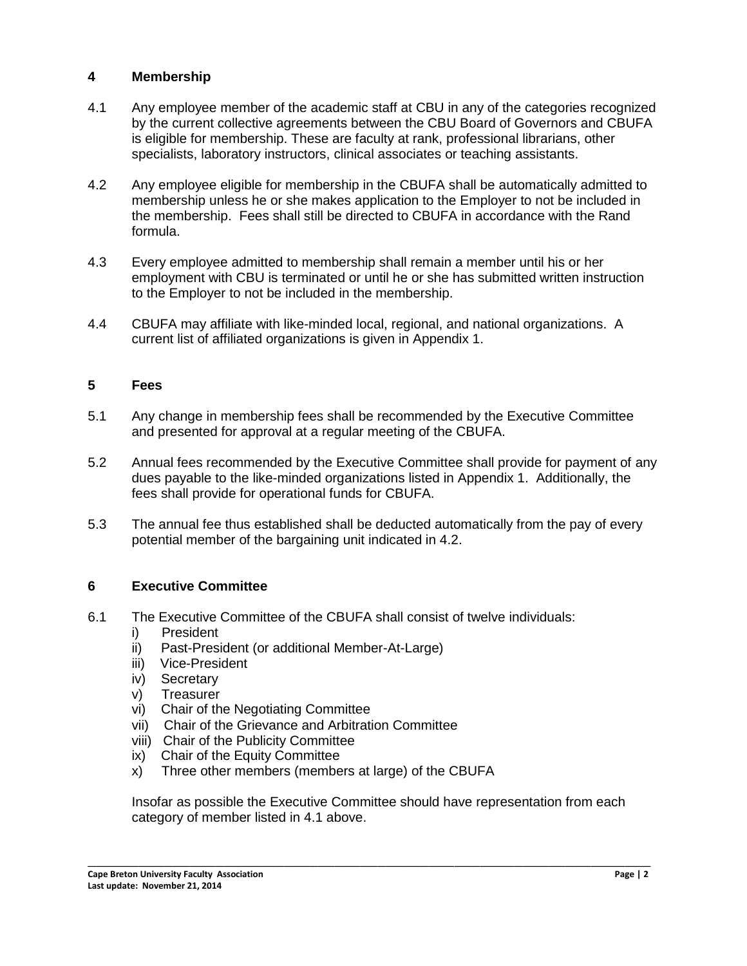## **4 Membership**

- 4.1 Any employee member of the academic staff at CBU in any of the categories recognized by the current collective agreements between the CBU Board of Governors and CBUFA is eligible for membership. These are faculty at rank, professional librarians, other specialists, laboratory instructors, clinical associates or teaching assistants.
- 4.2 Any employee eligible for membership in the CBUFA shall be automatically admitted to membership unless he or she makes application to the Employer to not be included in the membership. Fees shall still be directed to CBUFA in accordance with the Rand formula.
- 4.3 Every employee admitted to membership shall remain a member until his or her employment with CBU is terminated or until he or she has submitted written instruction to the Employer to not be included in the membership.
- 4.4 CBUFA may affiliate with like-minded local, regional, and national organizations. A current list of affiliated organizations is given in Appendix 1.

## **5 Fees**

- 5.1 Any change in membership fees shall be recommended by the Executive Committee and presented for approval at a regular meeting of the CBUFA.
- 5.2 Annual fees recommended by the Executive Committee shall provide for payment of any dues payable to the like-minded organizations listed in Appendix 1. Additionally, the fees shall provide for operational funds for CBUFA.
- 5.3 The annual fee thus established shall be deducted automatically from the pay of every potential member of the bargaining unit indicated in 4.2.

## **6 Executive Committee**

- 6.1 The Executive Committee of the CBUFA shall consist of twelve individuals:
	- i) President
	- ii) Past-President (or additional Member-At-Large)
	- iii) Vice-President
	- iv) Secretary
	- v) Treasurer
	- vi) Chair of the Negotiating Committee
	- vii) Chair of the Grievance and Arbitration Committee
	- viii) Chair of the Publicity Committee
	- ix) Chair of the Equity Committee
	- x) Three other members (members at large) of the CBUFA

Insofar as possible the Executive Committee should have representation from each category of member listed in 4.1 above.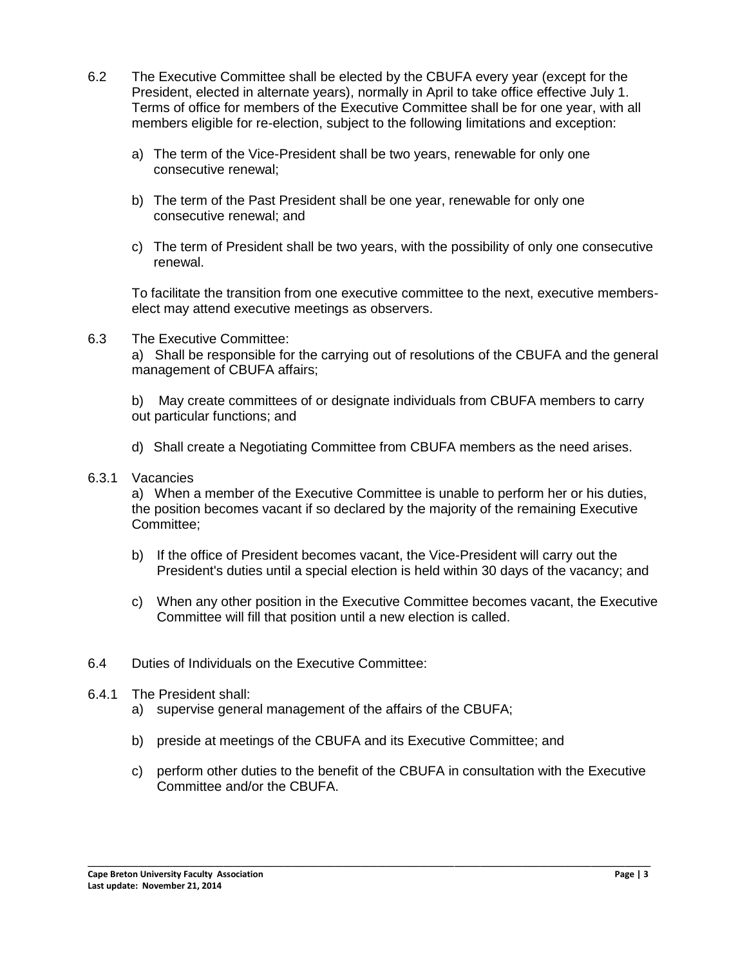- 6.2 The Executive Committee shall be elected by the CBUFA every year (except for the President, elected in alternate years), normally in April to take office effective July 1. Terms of office for members of the Executive Committee shall be for one year, with all members eligible for re-election, subject to the following limitations and exception:
	- a) The term of the Vice-President shall be two years, renewable for only one consecutive renewal;
	- b) The term of the Past President shall be one year, renewable for only one consecutive renewal; and
	- c) The term of President shall be two years, with the possibility of only one consecutive renewal.

To facilitate the transition from one executive committee to the next, executive memberselect may attend executive meetings as observers.

6.3 The Executive Committee:

a) Shall be responsible for the carrying out of resolutions of the CBUFA and the general management of CBUFA affairs;

b) May create committees of or designate individuals from CBUFA members to carry out particular functions; and

- d) Shall create a Negotiating Committee from CBUFA members as the need arises.
- 6.3.1 Vacancies

a) When a member of the Executive Committee is unable to perform her or his duties, the position becomes vacant if so declared by the majority of the remaining Executive Committee;

- b) If the office of President becomes vacant, the Vice-President will carry out the President's duties until a special election is held within 30 days of the vacancy; and
- c) When any other position in the Executive Committee becomes vacant, the Executive Committee will fill that position until a new election is called.
- 6.4 Duties of Individuals on the Executive Committee:
- 6.4.1 The President shall:
	- a) supervise general management of the affairs of the CBUFA;
	- b) preside at meetings of the CBUFA and its Executive Committee; and
	- c) perform other duties to the benefit of the CBUFA in consultation with the Executive Committee and/or the CBUFA.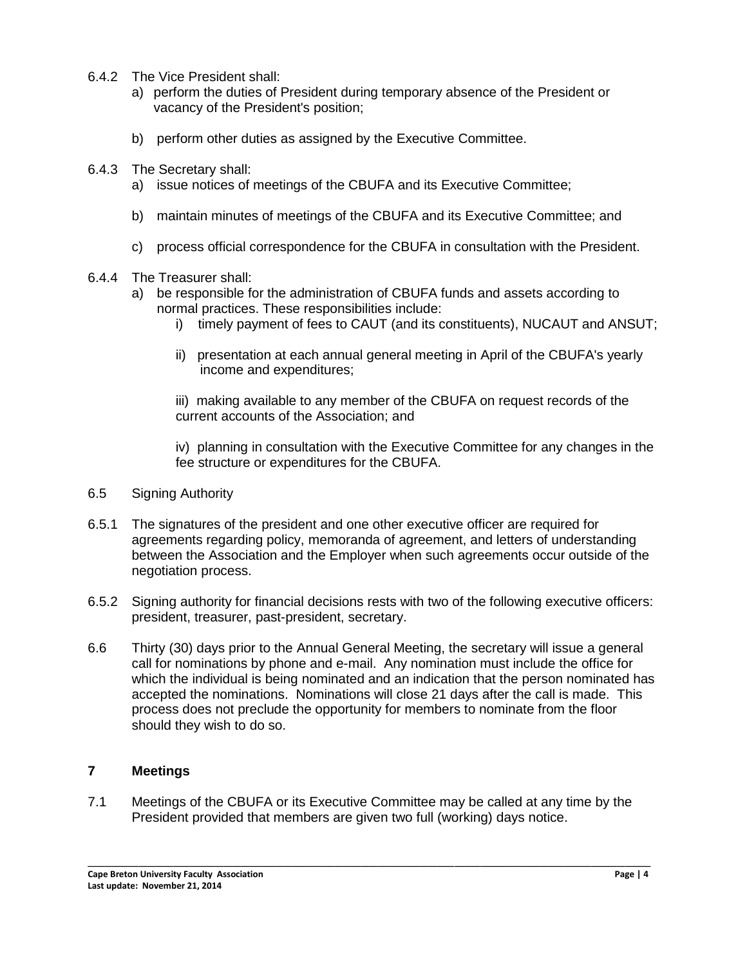- 6.4.2 The Vice President shall:
	- a) perform the duties of President during temporary absence of the President or vacancy of the President's position;
	- b) perform other duties as assigned by the Executive Committee.
- 6.4.3 The Secretary shall:
	- a) issue notices of meetings of the CBUFA and its Executive Committee;
	- b) maintain minutes of meetings of the CBUFA and its Executive Committee; and
	- c) process official correspondence for the CBUFA in consultation with the President.
- 6.4.4 The Treasurer shall:
	- a) be responsible for the administration of CBUFA funds and assets according to normal practices. These responsibilities include:
		- i) timely payment of fees to CAUT (and its constituents), NUCAUT and ANSUT;
		- ii) presentation at each annual general meeting in April of the CBUFA's yearly income and expenditures;

iii) making available to any member of the CBUFA on request records of the current accounts of the Association; and

iv) planning in consultation with the Executive Committee for any changes in the fee structure or expenditures for the CBUFA.

- 6.5 Signing Authority
- 6.5.1 The signatures of the president and one other executive officer are required for agreements regarding policy, memoranda of agreement, and letters of understanding between the Association and the Employer when such agreements occur outside of the negotiation process.
- 6.5.2 Signing authority for financial decisions rests with two of the following executive officers: president, treasurer, past-president, secretary.
- 6.6 Thirty (30) days prior to the Annual General Meeting, the secretary will issue a general call for nominations by phone and e-mail. Any nomination must include the office for which the individual is being nominated and an indication that the person nominated has accepted the nominations. Nominations will close 21 days after the call is made. This process does not preclude the opportunity for members to nominate from the floor should they wish to do so.

## **7 Meetings**

7.1 Meetings of the CBUFA or its Executive Committee may be called at any time by the President provided that members are given two full (working) days notice.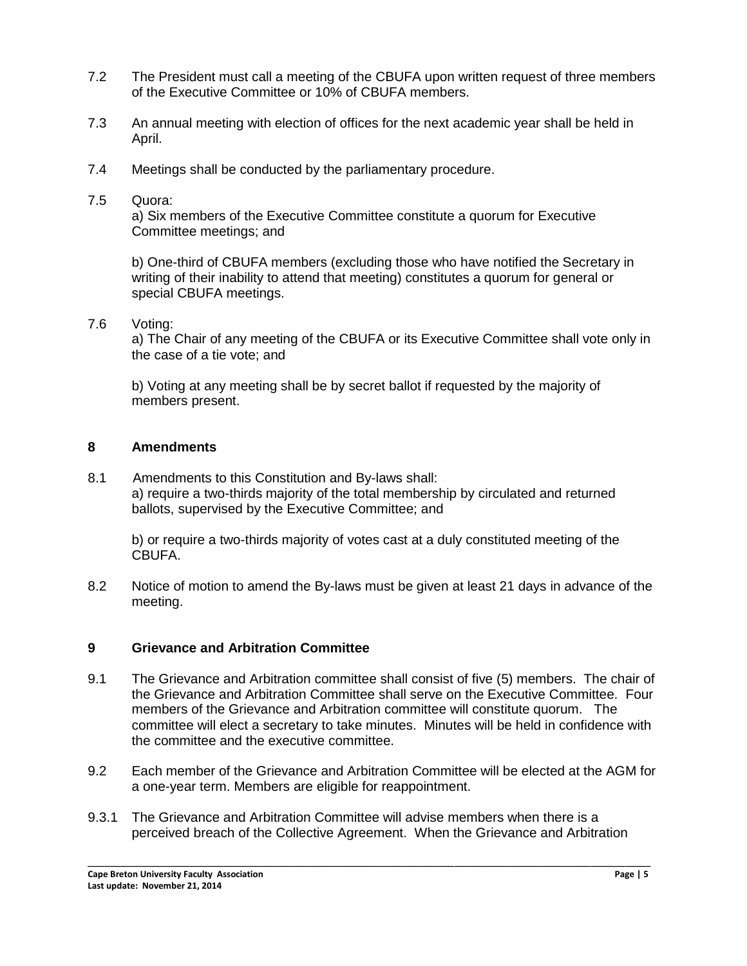- 7.2 The President must call a meeting of the CBUFA upon written request of three members of the Executive Committee or 10% of CBUFA members.
- 7.3 An annual meeting with election of offices for the next academic year shall be held in April.
- 7.4 Meetings shall be conducted by the parliamentary procedure.
- 7.5 Quora:

a) Six members of the Executive Committee constitute a quorum for Executive Committee meetings; and

b) One-third of CBUFA members (excluding those who have notified the Secretary in writing of their inability to attend that meeting) constitutes a quorum for general or special CBUFA meetings.

7.6 Voting:

a) The Chair of any meeting of the CBUFA or its Executive Committee shall vote only in the case of a tie vote; and

b) Voting at any meeting shall be by secret ballot if requested by the majority of members present.

## **8 Amendments**

8.1 Amendments to this Constitution and By-laws shall: a) require a two-thirds majority of the total membership by circulated and returned ballots, supervised by the Executive Committee; and

b) or require a two-thirds majority of votes cast at a duly constituted meeting of the CBUFA.

8.2 Notice of motion to amend the By-laws must be given at least 21 days in advance of the meeting.

# **9 Grievance and Arbitration Committee**

- 9.1 The Grievance and Arbitration committee shall consist of five (5) members. The chair of the Grievance and Arbitration Committee shall serve on the Executive Committee. Four members of the Grievance and Arbitration committee will constitute quorum. The committee will elect a secretary to take minutes. Minutes will be held in confidence with the committee and the executive committee.
- 9.2 Each member of the Grievance and Arbitration Committee will be elected at the AGM for a one-year term. Members are eligible for reappointment.
- 9.3.1 The Grievance and Arbitration Committee will advise members when there is a perceived breach of the Collective Agreement. When the Grievance and Arbitration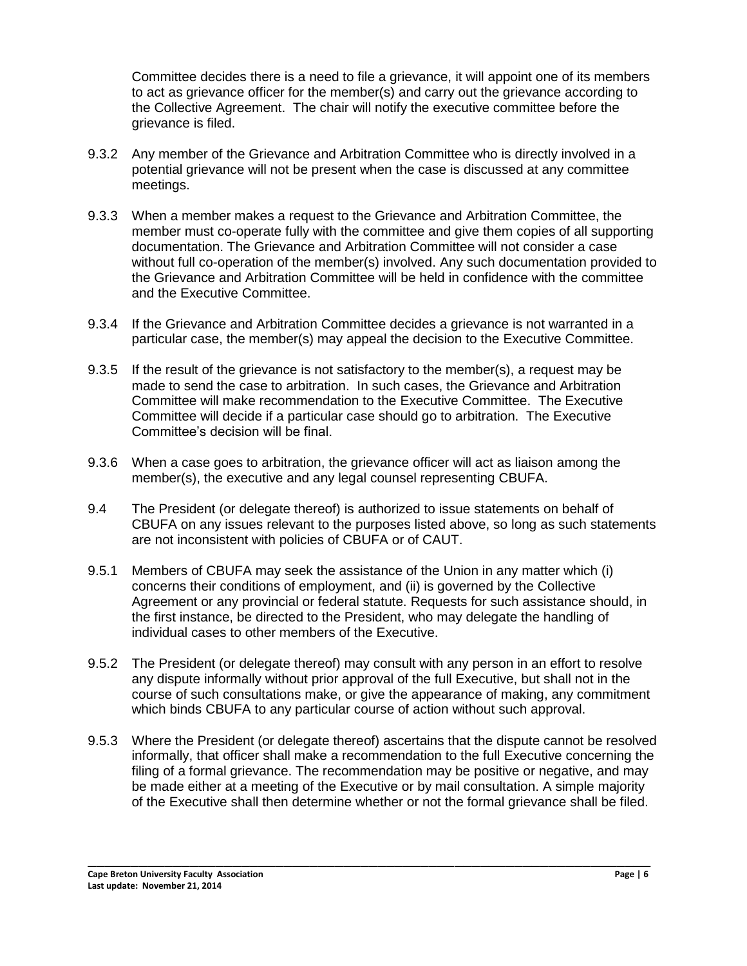Committee decides there is a need to file a grievance, it will appoint one of its members to act as grievance officer for the member(s) and carry out the grievance according to the Collective Agreement. The chair will notify the executive committee before the grievance is filed.

- 9.3.2 Any member of the Grievance and Arbitration Committee who is directly involved in a potential grievance will not be present when the case is discussed at any committee meetings.
- 9.3.3 When a member makes a request to the Grievance and Arbitration Committee, the member must co-operate fully with the committee and give them copies of all supporting documentation. The Grievance and Arbitration Committee will not consider a case without full co-operation of the member(s) involved. Any such documentation provided to the Grievance and Arbitration Committee will be held in confidence with the committee and the Executive Committee.
- 9.3.4 If the Grievance and Arbitration Committee decides a grievance is not warranted in a particular case, the member(s) may appeal the decision to the Executive Committee.
- 9.3.5 If the result of the grievance is not satisfactory to the member(s), a request may be made to send the case to arbitration. In such cases, the Grievance and Arbitration Committee will make recommendation to the Executive Committee. The Executive Committee will decide if a particular case should go to arbitration. The Executive Committee's decision will be final.
- 9.3.6 When a case goes to arbitration, the grievance officer will act as liaison among the member(s), the executive and any legal counsel representing CBUFA.
- 9.4 The President (or delegate thereof) is authorized to issue statements on behalf of CBUFA on any issues relevant to the purposes listed above, so long as such statements are not inconsistent with policies of CBUFA or of CAUT.
- 9.5.1 Members of CBUFA may seek the assistance of the Union in any matter which (i) concerns their conditions of employment, and (ii) is governed by the Collective Agreement or any provincial or federal statute. Requests for such assistance should, in the first instance, be directed to the President, who may delegate the handling of individual cases to other members of the Executive.
- 9.5.2 The President (or delegate thereof) may consult with any person in an effort to resolve any dispute informally without prior approval of the full Executive, but shall not in the course of such consultations make, or give the appearance of making, any commitment which binds CBUFA to any particular course of action without such approval.
- 9.5.3 Where the President (or delegate thereof) ascertains that the dispute cannot be resolved informally, that officer shall make a recommendation to the full Executive concerning the filing of a formal grievance. The recommendation may be positive or negative, and may be made either at a meeting of the Executive or by mail consultation. A simple majority of the Executive shall then determine whether or not the formal grievance shall be filed.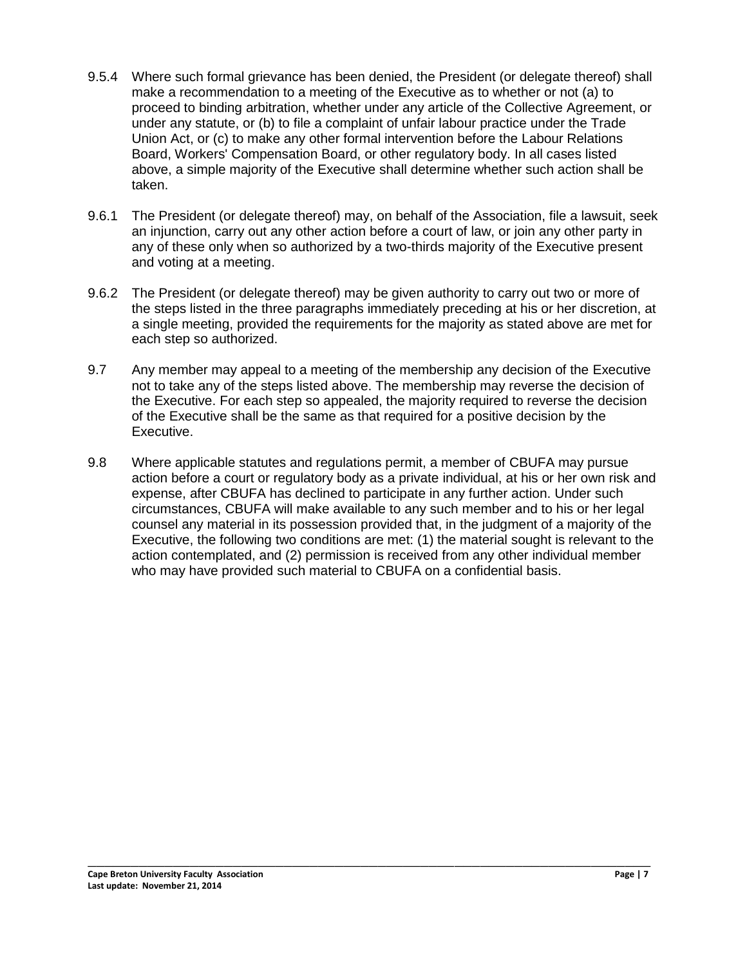- 9.5.4 Where such formal grievance has been denied, the President (or delegate thereof) shall make a recommendation to a meeting of the Executive as to whether or not (a) to proceed to binding arbitration, whether under any article of the Collective Agreement, or under any statute, or (b) to file a complaint of unfair labour practice under the Trade Union Act, or (c) to make any other formal intervention before the Labour Relations Board, Workers' Compensation Board, or other regulatory body. In all cases listed above, a simple majority of the Executive shall determine whether such action shall be taken.
- 9.6.1 The President (or delegate thereof) may, on behalf of the Association, file a lawsuit, seek an injunction, carry out any other action before a court of law, or join any other party in any of these only when so authorized by a two-thirds majority of the Executive present and voting at a meeting.
- 9.6.2 The President (or delegate thereof) may be given authority to carry out two or more of the steps listed in the three paragraphs immediately preceding at his or her discretion, at a single meeting, provided the requirements for the majority as stated above are met for each step so authorized.
- 9.7 Any member may appeal to a meeting of the membership any decision of the Executive not to take any of the steps listed above. The membership may reverse the decision of the Executive. For each step so appealed, the majority required to reverse the decision of the Executive shall be the same as that required for a positive decision by the Executive.
- 9.8 Where applicable statutes and regulations permit, a member of CBUFA may pursue action before a court or regulatory body as a private individual, at his or her own risk and expense, after CBUFA has declined to participate in any further action. Under such circumstances, CBUFA will make available to any such member and to his or her legal counsel any material in its possession provided that, in the judgment of a majority of the Executive, the following two conditions are met: (1) the material sought is relevant to the action contemplated, and (2) permission is received from any other individual member who may have provided such material to CBUFA on a confidential basis.